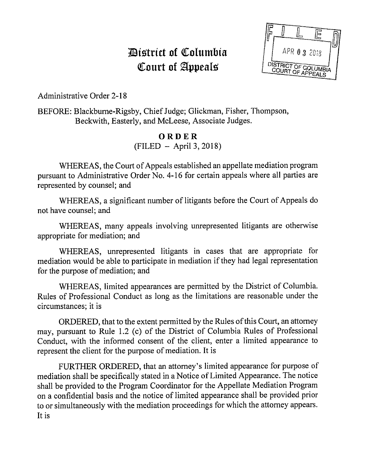# *District of Columbia* Court of Appeals



Administrative Order 2-18

BEFORE: Blackburne-Rigsby, Chief Judge; Glickman, Fisher, Thompson, Beckwith, Easterly, and McLeese, Associate Judges.

## **ORDER**   $(FILED - April 3, 2018)$

WHEREAS, the Court of Appeals established an appellate mediation program pursuant to Administrative Order No. 4-16 for certain appeals where all parties are represented by counsel; and

WHEREAS, a significant number of litigants before the Court of Appeals do not have counsel; and

WHEREAS, many appeals involving unrepresented litigants are otherwise appropriate for mediation; and

WHEREAS, unrepresented litigants in cases that are appropriate for mediation would be able to participate in mediation if they had legal representation for the purpose of mediation; and

WHEREAS, limited appearances are permitted by the District of Columbia. Rules of Professional Conduct as long as the limitations are reasonable under the circumstances; it is

ORDERED, that to the extent permitted by the Rules of this Court, an attorney may, pursuant to Rule 1.2 (c) of the District of Columbia Rules of Professional Conduct, with the informed consent of the client, enter a limited appearance to represent the client for the purpose of mediation. It is

FURTHER ORDERED, that an attorney's limited appearance for purpose of mediation shall be specifically stated in a Notice of Limited Appearance. The notice shall be provided to the Program Coordinator for the Appellate Mediation Program on a confidential basis and the notice of limited appearance shall be provided prior to or simultaneously with the mediation proceedings for which the attorney appears. It is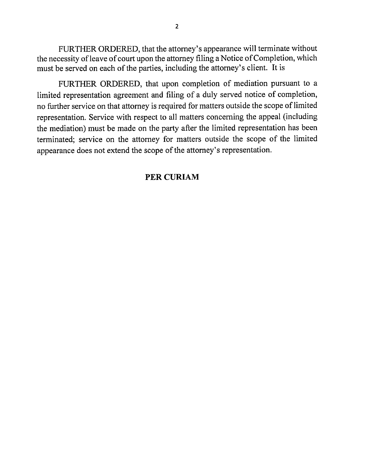FURTHER ORDERED, that the attorney's appearance will terminate without the necessity of leave of court upon the attorney filing a Notice of Completion, which must be served on each of the parties, including the attorney's client. It is

FURTHER ORDERED, that upon completion of mediation pursuant to a limited representation agreement and filing of a duly served notice of completion, no further service on that attorney is required for matters outside the scope of limited representation. Service with respect to all matters concerning the appeal (including the mediation) must be made on the party after the limited representation has been terminated; service on the attorney for matters outside the scope of the limited appearance does not extend the scope of the attorney's representation.

### **PERCURIAM**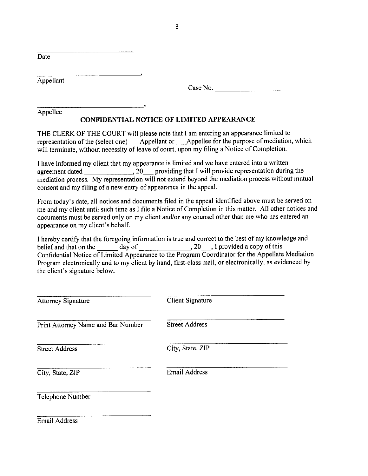Date

Appellant

Case No.

Appellee

#### **CONFIDENTIAL NOTICE OF LIMITED APPEARANCE**

THE CLERK OF THE COURT will please note that I am entering an appearance limited to representation of the (select one) \_\_Appellant or \_\_Appellee for the purpose of mediation, which will terminate, without necessity of leave of court, upon my filing a Notice of Completion.

I have informed my client that my appearance is limited and we have entered into a written agreement dated , 20 providing that I will provide representation during the mediation process. My representation will not extend beyond the mediation process without mutual consent and my filing of a new entry of appearance in the appeal.

From today's date, all notices and documents filed in the appeal identified above must be served on me and my client until such time as I file a Notice of Completion in this matter. All other notices and documents must be served only on my client and/or any counsel other than me who has entered an appearance on my client's behalf.

I hereby certify that the foregoing information is true and correct to the best of my knowledge and belief and that on the day of  $\qquad \qquad$ , 20, I provided a copy of this Confidential Notice of Limited Appearance to the Program Coordinator for the Appellate Mediation Program electronically and to my client by hand, first-class mail, or electronically, as evidenced by the client's signature below.

| <b>Attorney Signature</b>          | Client Signature      |  |
|------------------------------------|-----------------------|--|
| Print Attorney Name and Bar Number | <b>Street Address</b> |  |
| <b>Street Address</b>              | City, State, ZIP      |  |
| City, State, ZIP                   | <b>Email Address</b>  |  |
| Telephone Number                   |                       |  |

Email Address